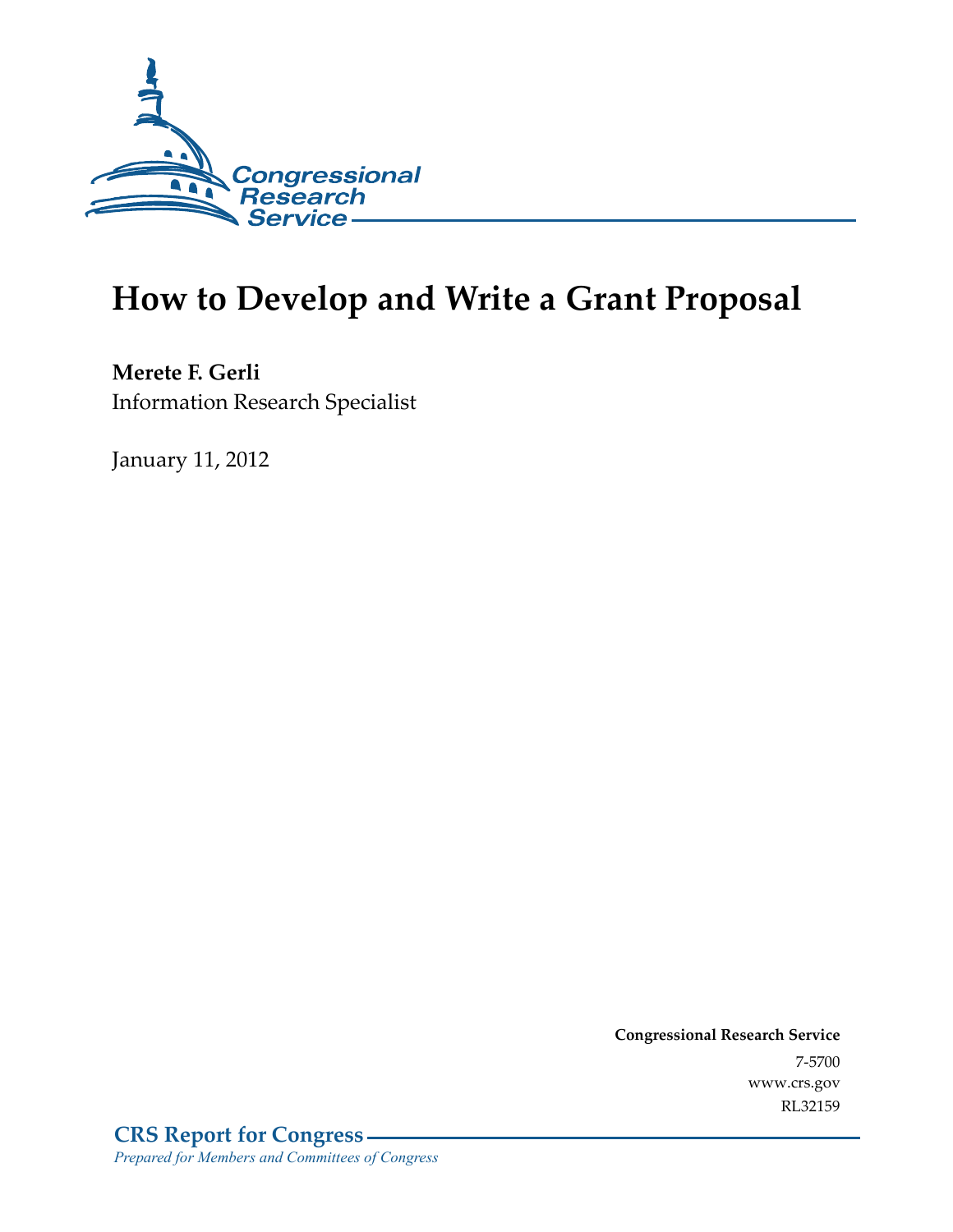

# **How to Develop and Write a Grant Proposal**

**Merete F. Gerli**  Information Research Specialist

January 11, 2012

**Congressional Research Service**  7-5700 www.crs.gov RL32159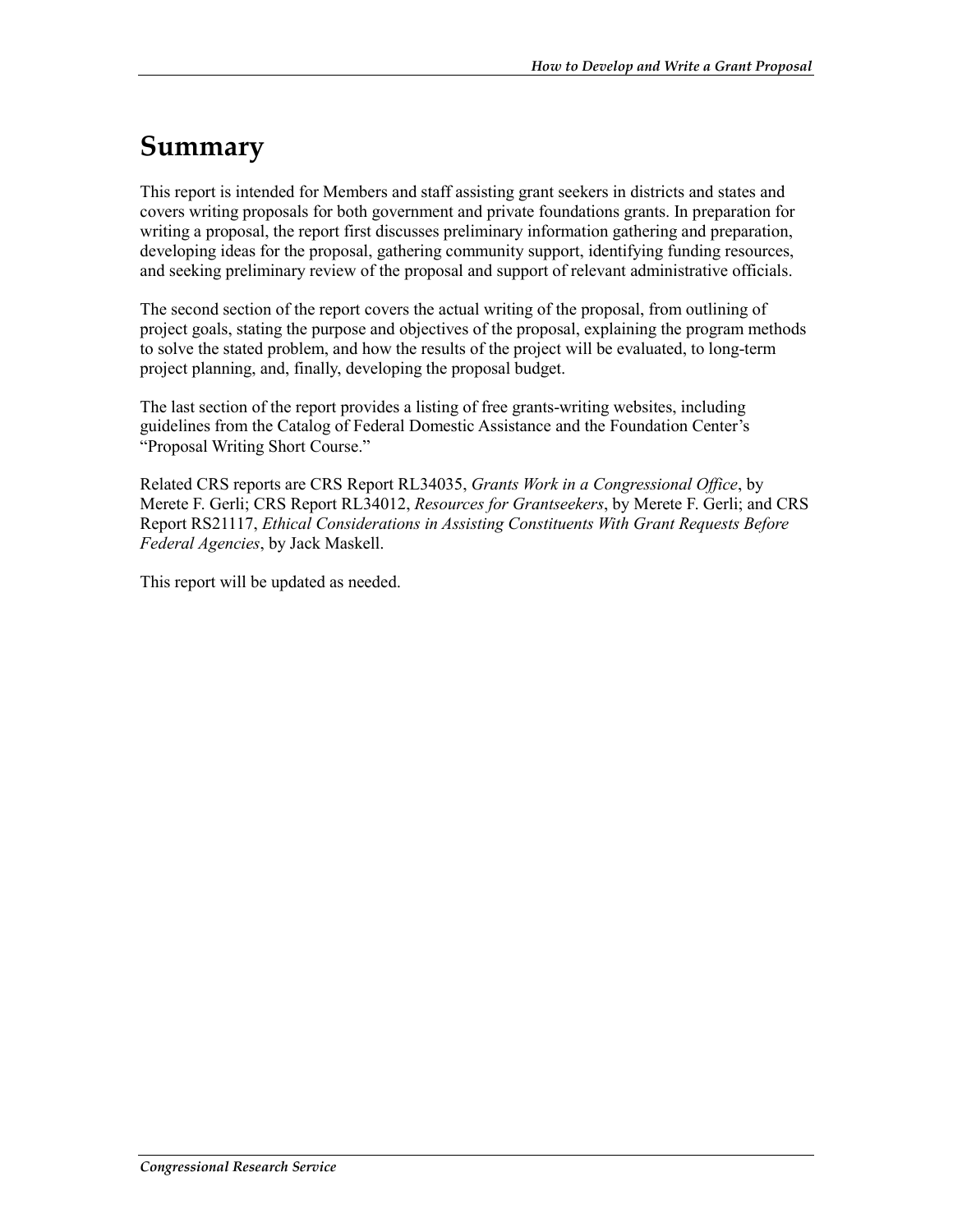## **Summary**

This report is intended for Members and staff assisting grant seekers in districts and states and covers writing proposals for both government and private foundations grants. In preparation for writing a proposal, the report first discusses preliminary information gathering and preparation, developing ideas for the proposal, gathering community support, identifying funding resources, and seeking preliminary review of the proposal and support of relevant administrative officials.

The second section of the report covers the actual writing of the proposal, from outlining of project goals, stating the purpose and objectives of the proposal, explaining the program methods to solve the stated problem, and how the results of the project will be evaluated, to long-term project planning, and, finally, developing the proposal budget.

The last section of the report provides a listing of free grants-writing websites, including guidelines from the Catalog of Federal Domestic Assistance and the Foundation Center's "Proposal Writing Short Course."

Related CRS reports are CRS Report RL34035, *Grants Work in a Congressional Office*, by Merete F. Gerli; CRS Report RL34012, *Resources for Grantseekers*, by Merete F. Gerli; and CRS Report RS21117, *Ethical Considerations in Assisting Constituents With Grant Requests Before Federal Agencies*, by Jack Maskell.

This report will be updated as needed.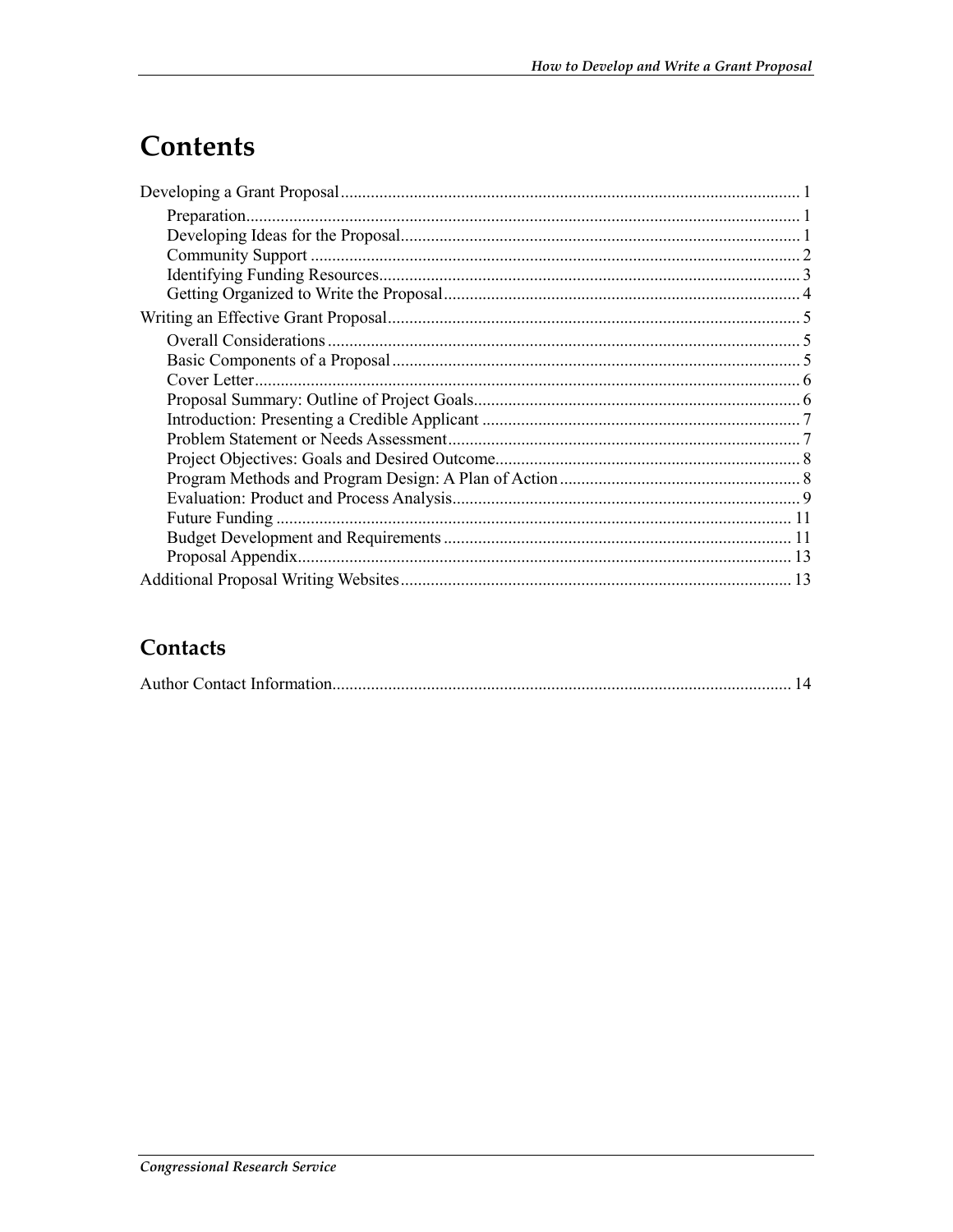## Contents

## Contacts

|--|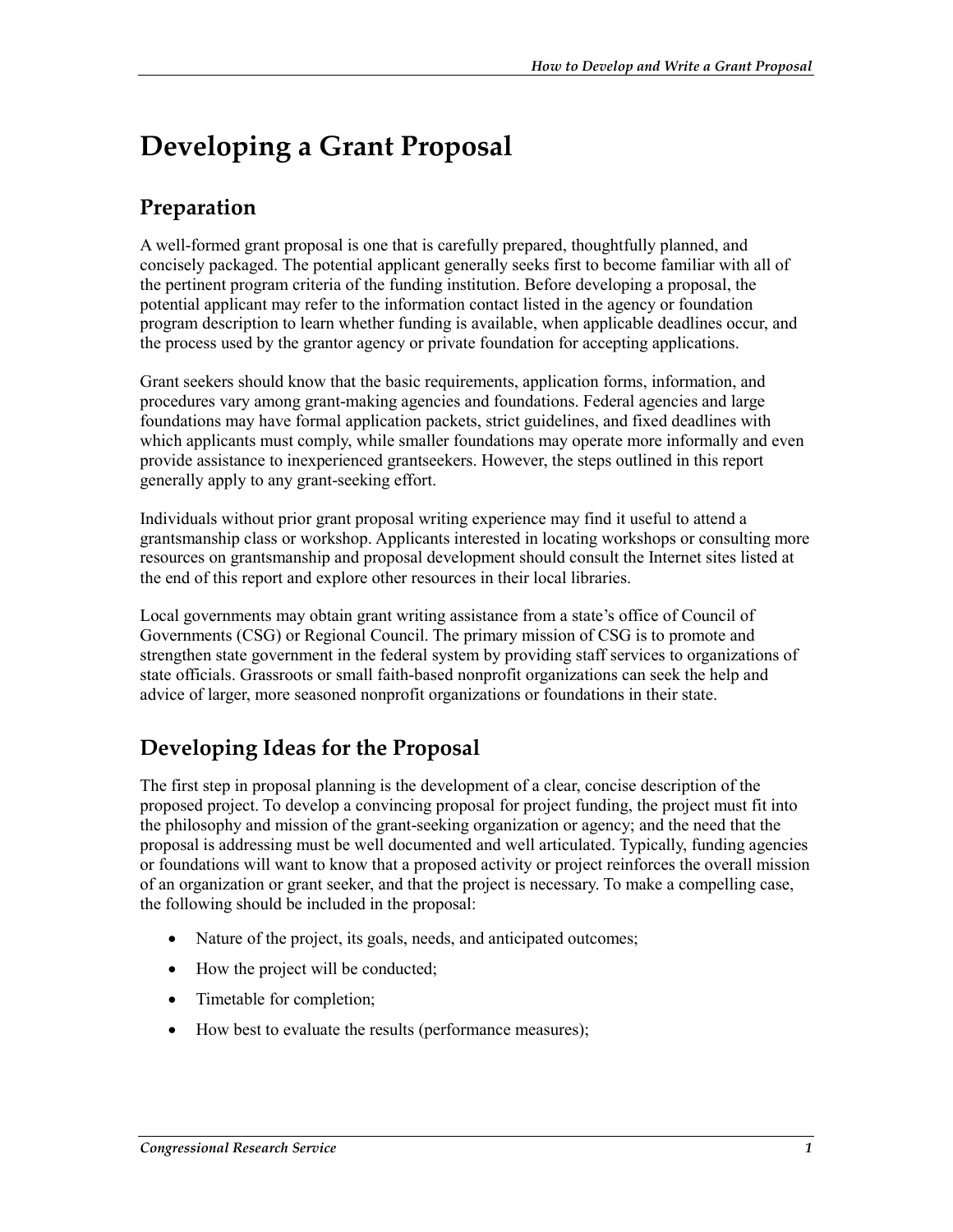## **Developing a Grant Proposal**

## **Preparation**

A well-formed grant proposal is one that is carefully prepared, thoughtfully planned, and concisely packaged. The potential applicant generally seeks first to become familiar with all of the pertinent program criteria of the funding institution. Before developing a proposal, the potential applicant may refer to the information contact listed in the agency or foundation program description to learn whether funding is available, when applicable deadlines occur, and the process used by the grantor agency or private foundation for accepting applications.

Grant seekers should know that the basic requirements, application forms, information, and procedures vary among grant-making agencies and foundations. Federal agencies and large foundations may have formal application packets, strict guidelines, and fixed deadlines with which applicants must comply, while smaller foundations may operate more informally and even provide assistance to inexperienced grantseekers. However, the steps outlined in this report generally apply to any grant-seeking effort.

Individuals without prior grant proposal writing experience may find it useful to attend a grantsmanship class or workshop. Applicants interested in locating workshops or consulting more resources on grantsmanship and proposal development should consult the Internet sites listed at the end of this report and explore other resources in their local libraries.

Local governments may obtain grant writing assistance from a state's office of Council of Governments (CSG) or Regional Council. The primary mission of CSG is to promote and strengthen state government in the federal system by providing staff services to organizations of state officials. Grassroots or small faith-based nonprofit organizations can seek the help and advice of larger, more seasoned nonprofit organizations or foundations in their state.

## **Developing Ideas for the Proposal**

The first step in proposal planning is the development of a clear, concise description of the proposed project. To develop a convincing proposal for project funding, the project must fit into the philosophy and mission of the grant-seeking organization or agency; and the need that the proposal is addressing must be well documented and well articulated. Typically, funding agencies or foundations will want to know that a proposed activity or project reinforces the overall mission of an organization or grant seeker, and that the project is necessary. To make a compelling case, the following should be included in the proposal:

- Nature of the project, its goals, needs, and anticipated outcomes;
- How the project will be conducted;
- Timetable for completion;
- How best to evaluate the results (performance measures);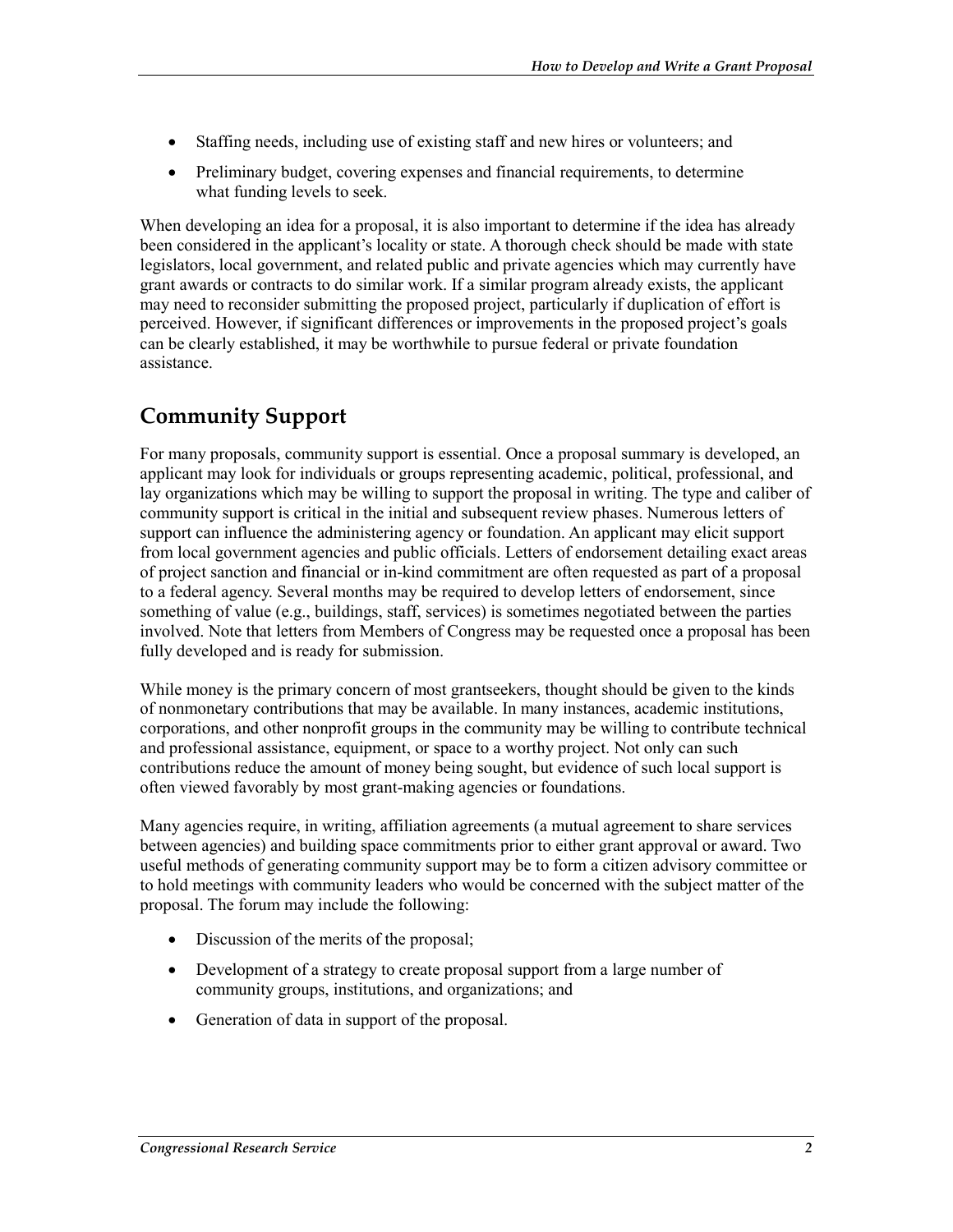- Staffing needs, including use of existing staff and new hires or volunteers; and
- Preliminary budget, covering expenses and financial requirements, to determine what funding levels to seek.

When developing an idea for a proposal, it is also important to determine if the idea has already been considered in the applicant's locality or state. A thorough check should be made with state legislators, local government, and related public and private agencies which may currently have grant awards or contracts to do similar work. If a similar program already exists, the applicant may need to reconsider submitting the proposed project, particularly if duplication of effort is perceived. However, if significant differences or improvements in the proposed project's goals can be clearly established, it may be worthwhile to pursue federal or private foundation assistance.

### **Community Support**

For many proposals, community support is essential. Once a proposal summary is developed, an applicant may look for individuals or groups representing academic, political, professional, and lay organizations which may be willing to support the proposal in writing. The type and caliber of community support is critical in the initial and subsequent review phases. Numerous letters of support can influence the administering agency or foundation. An applicant may elicit support from local government agencies and public officials. Letters of endorsement detailing exact areas of project sanction and financial or in-kind commitment are often requested as part of a proposal to a federal agency. Several months may be required to develop letters of endorsement, since something of value (e.g., buildings, staff, services) is sometimes negotiated between the parties involved. Note that letters from Members of Congress may be requested once a proposal has been fully developed and is ready for submission.

While money is the primary concern of most grantseekers, thought should be given to the kinds of nonmonetary contributions that may be available. In many instances, academic institutions, corporations, and other nonprofit groups in the community may be willing to contribute technical and professional assistance, equipment, or space to a worthy project. Not only can such contributions reduce the amount of money being sought, but evidence of such local support is often viewed favorably by most grant-making agencies or foundations.

Many agencies require, in writing, affiliation agreements (a mutual agreement to share services between agencies) and building space commitments prior to either grant approval or award. Two useful methods of generating community support may be to form a citizen advisory committee or to hold meetings with community leaders who would be concerned with the subject matter of the proposal. The forum may include the following:

- Discussion of the merits of the proposal;
- Development of a strategy to create proposal support from a large number of community groups, institutions, and organizations; and
- Generation of data in support of the proposal.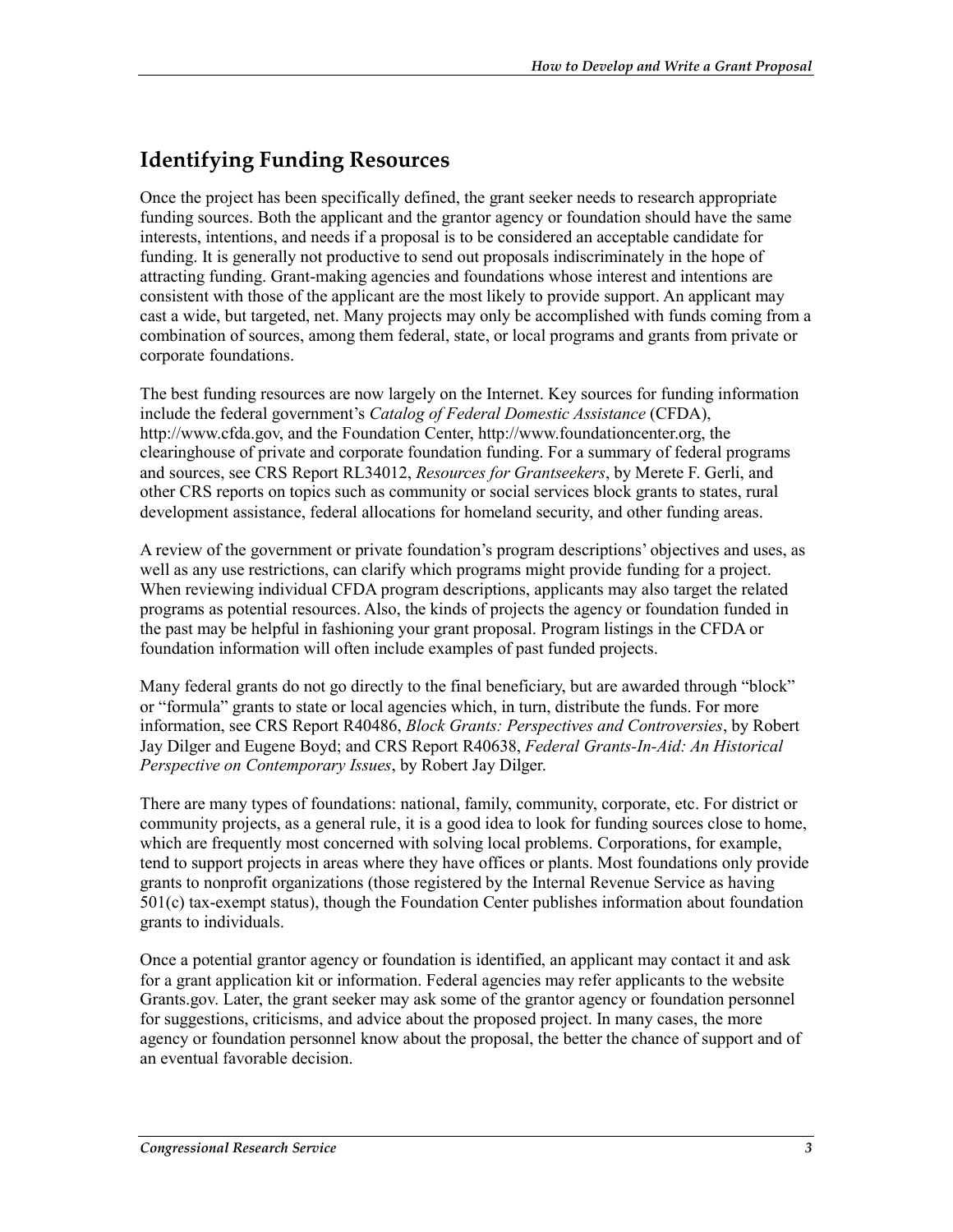### **Identifying Funding Resources**

Once the project has been specifically defined, the grant seeker needs to research appropriate funding sources. Both the applicant and the grantor agency or foundation should have the same interests, intentions, and needs if a proposal is to be considered an acceptable candidate for funding. It is generally not productive to send out proposals indiscriminately in the hope of attracting funding. Grant-making agencies and foundations whose interest and intentions are consistent with those of the applicant are the most likely to provide support. An applicant may cast a wide, but targeted, net. Many projects may only be accomplished with funds coming from a combination of sources, among them federal, state, or local programs and grants from private or corporate foundations.

The best funding resources are now largely on the Internet. Key sources for funding information include the federal government's *Catalog of Federal Domestic Assistance* (CFDA), http://www.cfda.gov, and the Foundation Center, http://www.foundationcenter.org, the clearinghouse of private and corporate foundation funding. For a summary of federal programs and sources, see CRS Report RL34012, *Resources for Grantseekers*, by Merete F. Gerli, and other CRS reports on topics such as community or social services block grants to states, rural development assistance, federal allocations for homeland security, and other funding areas.

A review of the government or private foundation's program descriptions' objectives and uses, as well as any use restrictions, can clarify which programs might provide funding for a project. When reviewing individual CFDA program descriptions, applicants may also target the related programs as potential resources. Also, the kinds of projects the agency or foundation funded in the past may be helpful in fashioning your grant proposal. Program listings in the CFDA or foundation information will often include examples of past funded projects.

Many federal grants do not go directly to the final beneficiary, but are awarded through "block" or "formula" grants to state or local agencies which, in turn, distribute the funds. For more information, see CRS Report R40486, *Block Grants: Perspectives and Controversies*, by Robert Jay Dilger and Eugene Boyd; and CRS Report R40638, *Federal Grants-In-Aid: An Historical Perspective on Contemporary Issues*, by Robert Jay Dilger.

There are many types of foundations: national, family, community, corporate, etc. For district or community projects, as a general rule, it is a good idea to look for funding sources close to home, which are frequently most concerned with solving local problems. Corporations, for example, tend to support projects in areas where they have offices or plants. Most foundations only provide grants to nonprofit organizations (those registered by the Internal Revenue Service as having 501(c) tax-exempt status), though the Foundation Center publishes information about foundation grants to individuals.

Once a potential grantor agency or foundation is identified, an applicant may contact it and ask for a grant application kit or information. Federal agencies may refer applicants to the website Grants.gov. Later, the grant seeker may ask some of the grantor agency or foundation personnel for suggestions, criticisms, and advice about the proposed project. In many cases, the more agency or foundation personnel know about the proposal, the better the chance of support and of an eventual favorable decision.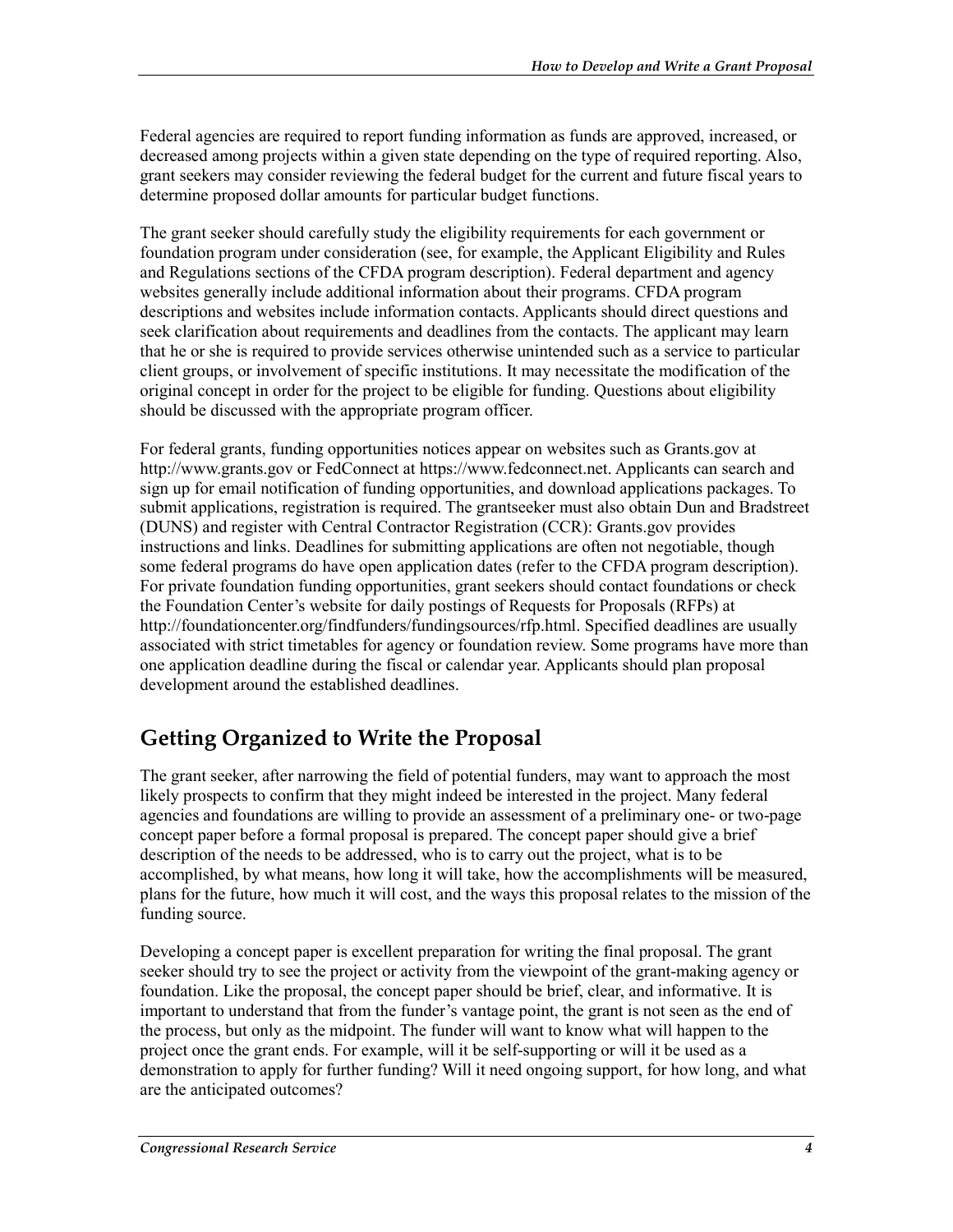Federal agencies are required to report funding information as funds are approved, increased, or decreased among projects within a given state depending on the type of required reporting. Also, grant seekers may consider reviewing the federal budget for the current and future fiscal years to determine proposed dollar amounts for particular budget functions.

The grant seeker should carefully study the eligibility requirements for each government or foundation program under consideration (see, for example, the Applicant Eligibility and Rules and Regulations sections of the CFDA program description). Federal department and agency websites generally include additional information about their programs. CFDA program descriptions and websites include information contacts. Applicants should direct questions and seek clarification about requirements and deadlines from the contacts. The applicant may learn that he or she is required to provide services otherwise unintended such as a service to particular client groups, or involvement of specific institutions. It may necessitate the modification of the original concept in order for the project to be eligible for funding. Questions about eligibility should be discussed with the appropriate program officer.

For federal grants, funding opportunities notices appear on websites such as Grants.gov at http://www.grants.gov or FedConnect at https://www.fedconnect.net. Applicants can search and sign up for email notification of funding opportunities, and download applications packages. To submit applications, registration is required. The grantseeker must also obtain Dun and Bradstreet (DUNS) and register with Central Contractor Registration (CCR): Grants.gov provides instructions and links. Deadlines for submitting applications are often not negotiable, though some federal programs do have open application dates (refer to the CFDA program description). For private foundation funding opportunities, grant seekers should contact foundations or check the Foundation Center's website for daily postings of Requests for Proposals (RFPs) at http://foundationcenter.org/findfunders/fundingsources/rfp.html. Specified deadlines are usually associated with strict timetables for agency or foundation review. Some programs have more than one application deadline during the fiscal or calendar year. Applicants should plan proposal development around the established deadlines.

### **Getting Organized to Write the Proposal**

The grant seeker, after narrowing the field of potential funders, may want to approach the most likely prospects to confirm that they might indeed be interested in the project. Many federal agencies and foundations are willing to provide an assessment of a preliminary one- or two-page concept paper before a formal proposal is prepared. The concept paper should give a brief description of the needs to be addressed, who is to carry out the project, what is to be accomplished, by what means, how long it will take, how the accomplishments will be measured, plans for the future, how much it will cost, and the ways this proposal relates to the mission of the funding source.

Developing a concept paper is excellent preparation for writing the final proposal. The grant seeker should try to see the project or activity from the viewpoint of the grant-making agency or foundation. Like the proposal, the concept paper should be brief, clear, and informative. It is important to understand that from the funder's vantage point, the grant is not seen as the end of the process, but only as the midpoint. The funder will want to know what will happen to the project once the grant ends. For example, will it be self-supporting or will it be used as a demonstration to apply for further funding? Will it need ongoing support, for how long, and what are the anticipated outcomes?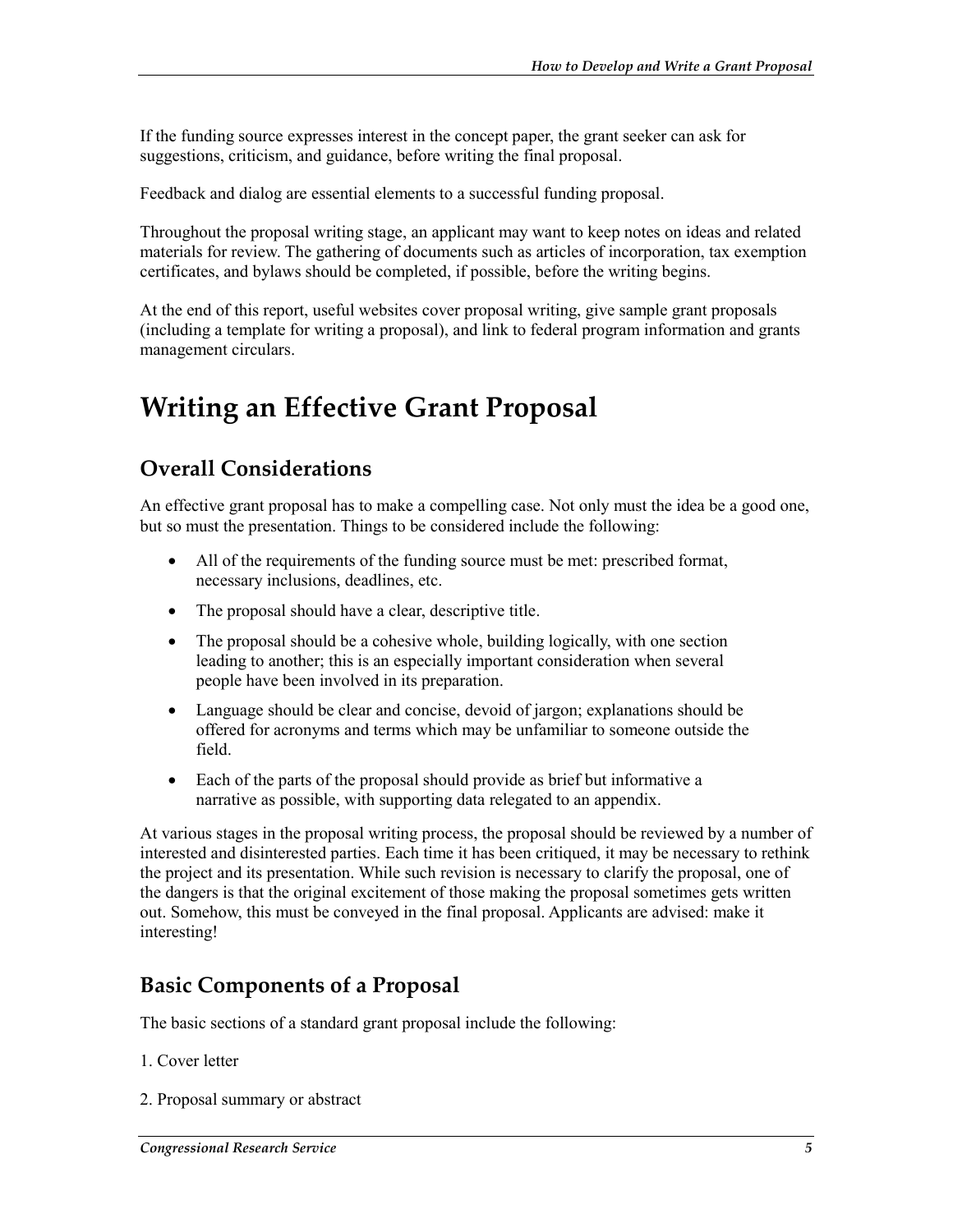If the funding source expresses interest in the concept paper, the grant seeker can ask for suggestions, criticism, and guidance, before writing the final proposal.

Feedback and dialog are essential elements to a successful funding proposal.

Throughout the proposal writing stage, an applicant may want to keep notes on ideas and related materials for review. The gathering of documents such as articles of incorporation, tax exemption certificates, and bylaws should be completed, if possible, before the writing begins.

At the end of this report, useful websites cover proposal writing, give sample grant proposals (including a template for writing a proposal), and link to federal program information and grants management circulars.

## **Writing an Effective Grant Proposal**

### **Overall Considerations**

An effective grant proposal has to make a compelling case. Not only must the idea be a good one, but so must the presentation. Things to be considered include the following:

- All of the requirements of the funding source must be met: prescribed format, necessary inclusions, deadlines, etc.
- The proposal should have a clear, descriptive title.
- The proposal should be a cohesive whole, building logically, with one section leading to another; this is an especially important consideration when several people have been involved in its preparation.
- Language should be clear and concise, devoid of jargon; explanations should be offered for acronyms and terms which may be unfamiliar to someone outside the field.
- Each of the parts of the proposal should provide as brief but informative a narrative as possible, with supporting data relegated to an appendix.

At various stages in the proposal writing process, the proposal should be reviewed by a number of interested and disinterested parties. Each time it has been critiqued, it may be necessary to rethink the project and its presentation. While such revision is necessary to clarify the proposal, one of the dangers is that the original excitement of those making the proposal sometimes gets written out. Somehow, this must be conveyed in the final proposal. Applicants are advised: make it interesting!

#### **Basic Components of a Proposal**

The basic sections of a standard grant proposal include the following:

- 1. Cover letter
- 2. Proposal summary or abstract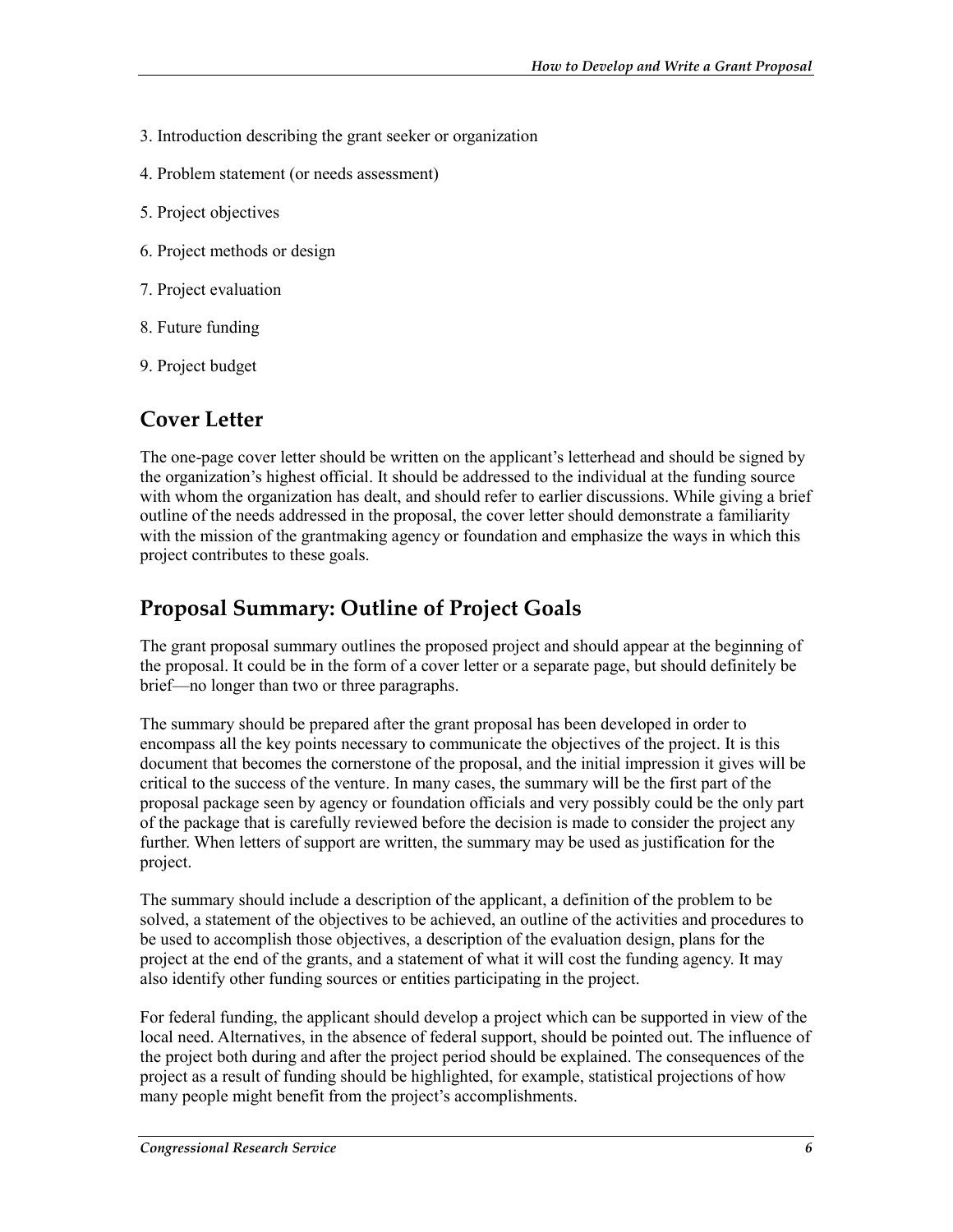- 3. Introduction describing the grant seeker or organization
- 4. Problem statement (or needs assessment)
- 5. Project objectives
- 6. Project methods or design
- 7. Project evaluation
- 8. Future funding
- 9. Project budget

#### **Cover Letter**

The one-page cover letter should be written on the applicant's letterhead and should be signed by the organization's highest official. It should be addressed to the individual at the funding source with whom the organization has dealt, and should refer to earlier discussions. While giving a brief outline of the needs addressed in the proposal, the cover letter should demonstrate a familiarity with the mission of the grantmaking agency or foundation and emphasize the ways in which this project contributes to these goals.

#### **Proposal Summary: Outline of Project Goals**

The grant proposal summary outlines the proposed project and should appear at the beginning of the proposal. It could be in the form of a cover letter or a separate page, but should definitely be brief—no longer than two or three paragraphs.

The summary should be prepared after the grant proposal has been developed in order to encompass all the key points necessary to communicate the objectives of the project. It is this document that becomes the cornerstone of the proposal, and the initial impression it gives will be critical to the success of the venture. In many cases, the summary will be the first part of the proposal package seen by agency or foundation officials and very possibly could be the only part of the package that is carefully reviewed before the decision is made to consider the project any further. When letters of support are written, the summary may be used as justification for the project.

The summary should include a description of the applicant, a definition of the problem to be solved, a statement of the objectives to be achieved, an outline of the activities and procedures to be used to accomplish those objectives, a description of the evaluation design, plans for the project at the end of the grants, and a statement of what it will cost the funding agency. It may also identify other funding sources or entities participating in the project.

For federal funding, the applicant should develop a project which can be supported in view of the local need. Alternatives, in the absence of federal support, should be pointed out. The influence of the project both during and after the project period should be explained. The consequences of the project as a result of funding should be highlighted, for example, statistical projections of how many people might benefit from the project's accomplishments.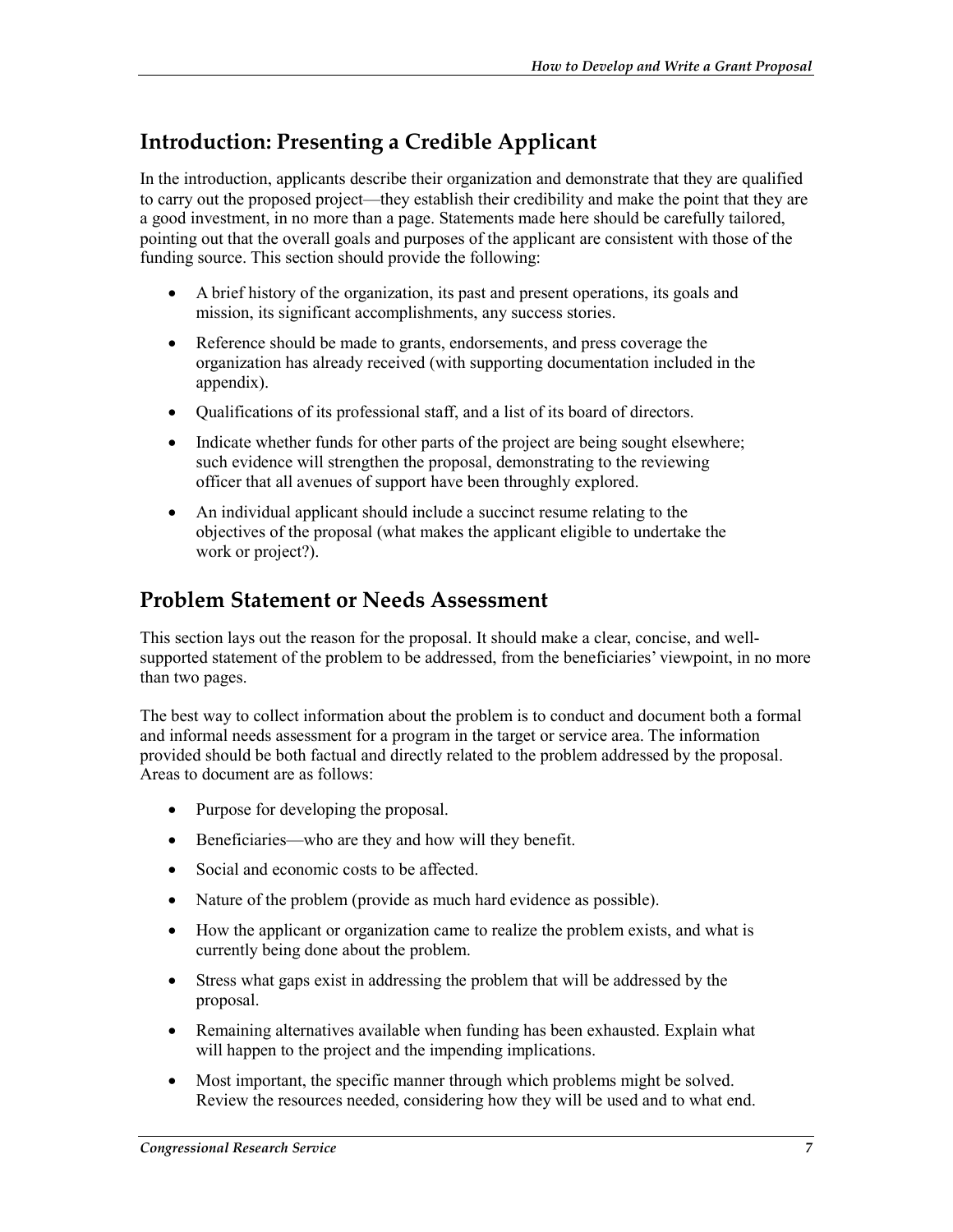### **Introduction: Presenting a Credible Applicant**

In the introduction, applicants describe their organization and demonstrate that they are qualified to carry out the proposed project—they establish their credibility and make the point that they are a good investment, in no more than a page. Statements made here should be carefully tailored, pointing out that the overall goals and purposes of the applicant are consistent with those of the funding source. This section should provide the following:

- A brief history of the organization, its past and present operations, its goals and mission, its significant accomplishments, any success stories.
- Reference should be made to grants, endorsements, and press coverage the organization has already received (with supporting documentation included in the appendix).
- Qualifications of its professional staff, and a list of its board of directors.
- Indicate whether funds for other parts of the project are being sought elsewhere; such evidence will strengthen the proposal, demonstrating to the reviewing officer that all avenues of support have been throughly explored.
- An individual applicant should include a succinct resume relating to the objectives of the proposal (what makes the applicant eligible to undertake the work or project?).

#### **Problem Statement or Needs Assessment**

This section lays out the reason for the proposal. It should make a clear, concise, and wellsupported statement of the problem to be addressed, from the beneficiaries' viewpoint, in no more than two pages.

The best way to collect information about the problem is to conduct and document both a formal and informal needs assessment for a program in the target or service area. The information provided should be both factual and directly related to the problem addressed by the proposal. Areas to document are as follows:

- Purpose for developing the proposal.
- Beneficiaries—who are they and how will they benefit.
- Social and economic costs to be affected.
- Nature of the problem (provide as much hard evidence as possible).
- How the applicant or organization came to realize the problem exists, and what is currently being done about the problem.
- Stress what gaps exist in addressing the problem that will be addressed by the proposal.
- Remaining alternatives available when funding has been exhausted. Explain what will happen to the project and the impending implications.
- Most important, the specific manner through which problems might be solved. Review the resources needed, considering how they will be used and to what end.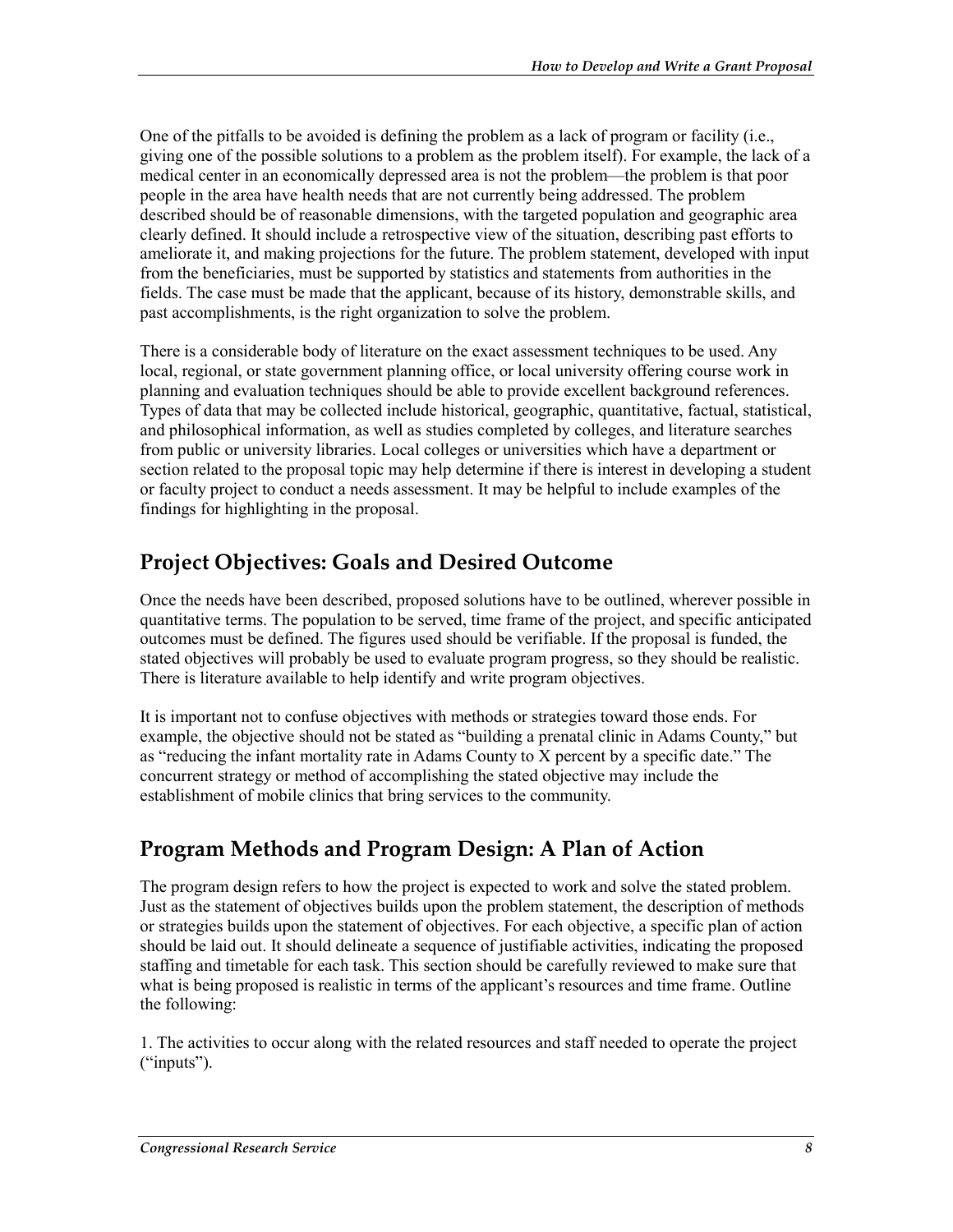One of the pitfalls to be avoided is defining the problem as a lack of program or facility (i.e., giving one of the possible solutions to a problem as the problem itself). For example, the lack of a medical center in an economically depressed area is not the problem—the problem is that poor people in the area have health needs that are not currently being addressed. The problem described should be of reasonable dimensions, with the targeted population and geographic area clearly defined. It should include a retrospective view of the situation, describing past efforts to ameliorate it, and making projections for the future. The problem statement, developed with input from the beneficiaries, must be supported by statistics and statements from authorities in the fields. The case must be made that the applicant, because of its history, demonstrable skills, and past accomplishments, is the right organization to solve the problem.

There is a considerable body of literature on the exact assessment techniques to be used. Any local, regional, or state government planning office, or local university offering course work in planning and evaluation techniques should be able to provide excellent background references. Types of data that may be collected include historical, geographic, quantitative, factual, statistical, and philosophical information, as well as studies completed by colleges, and literature searches from public or university libraries. Local colleges or universities which have a department or section related to the proposal topic may help determine if there is interest in developing a student or faculty project to conduct a needs assessment. It may be helpful to include examples of the findings for highlighting in the proposal.

## **Project Objectives: Goals and Desired Outcome**

Once the needs have been described, proposed solutions have to be outlined, wherever possible in quantitative terms. The population to be served, time frame of the project, and specific anticipated outcomes must be defined. The figures used should be verifiable. If the proposal is funded, the stated objectives will probably be used to evaluate program progress, so they should be realistic. There is literature available to help identify and write program objectives.

It is important not to confuse objectives with methods or strategies toward those ends. For example, the objective should not be stated as "building a prenatal clinic in Adams County," but as "reducing the infant mortality rate in Adams County to X percent by a specific date." The concurrent strategy or method of accomplishing the stated objective may include the establishment of mobile clinics that bring services to the community.

### **Program Methods and Program Design: A Plan of Action**

The program design refers to how the project is expected to work and solve the stated problem. Just as the statement of objectives builds upon the problem statement, the description of methods or strategies builds upon the statement of objectives. For each objective, a specific plan of action should be laid out. It should delineate a sequence of justifiable activities, indicating the proposed staffing and timetable for each task. This section should be carefully reviewed to make sure that what is being proposed is realistic in terms of the applicant's resources and time frame. Outline the following:

1. The activities to occur along with the related resources and staff needed to operate the project ("inputs").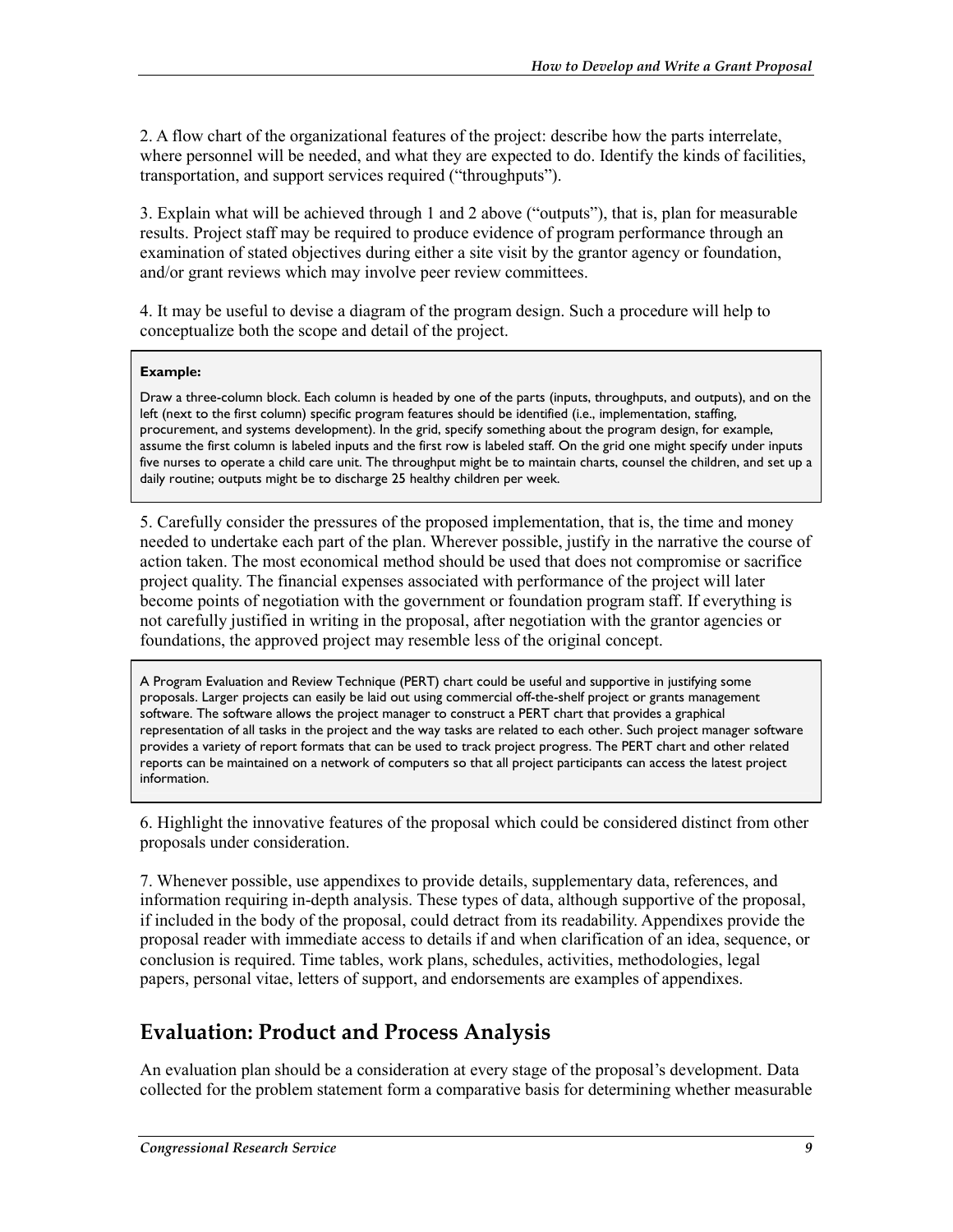2. A flow chart of the organizational features of the project: describe how the parts interrelate, where personnel will be needed, and what they are expected to do. Identify the kinds of facilities, transportation, and support services required ("throughputs").

3. Explain what will be achieved through 1 and 2 above ("outputs"), that is, plan for measurable results. Project staff may be required to produce evidence of program performance through an examination of stated objectives during either a site visit by the grantor agency or foundation, and/or grant reviews which may involve peer review committees.

4. It may be useful to devise a diagram of the program design. Such a procedure will help to conceptualize both the scope and detail of the project.

#### **Example:**

Draw a three-column block. Each column is headed by one of the parts (inputs, throughputs, and outputs), and on the left (next to the first column) specific program features should be identified (i.e., implementation, staffing, procurement, and systems development). In the grid, specify something about the program design, for example, assume the first column is labeled inputs and the first row is labeled staff. On the grid one might specify under inputs five nurses to operate a child care unit. The throughput might be to maintain charts, counsel the children, and set up a daily routine; outputs might be to discharge 25 healthy children per week.

5. Carefully consider the pressures of the proposed implementation, that is, the time and money needed to undertake each part of the plan. Wherever possible, justify in the narrative the course of action taken. The most economical method should be used that does not compromise or sacrifice project quality. The financial expenses associated with performance of the project will later become points of negotiation with the government or foundation program staff. If everything is not carefully justified in writing in the proposal, after negotiation with the grantor agencies or foundations, the approved project may resemble less of the original concept.

A Program Evaluation and Review Technique (PERT) chart could be useful and supportive in justifying some proposals. Larger projects can easily be laid out using commercial off-the-shelf project or grants management software. The software allows the project manager to construct a PERT chart that provides a graphical representation of all tasks in the project and the way tasks are related to each other. Such project manager software provides a variety of report formats that can be used to track project progress. The PERT chart and other related reports can be maintained on a network of computers so that all project participants can access the latest project information.

6. Highlight the innovative features of the proposal which could be considered distinct from other proposals under consideration.

7. Whenever possible, use appendixes to provide details, supplementary data, references, and information requiring in-depth analysis. These types of data, although supportive of the proposal, if included in the body of the proposal, could detract from its readability. Appendixes provide the proposal reader with immediate access to details if and when clarification of an idea, sequence, or conclusion is required. Time tables, work plans, schedules, activities, methodologies, legal papers, personal vitae, letters of support, and endorsements are examples of appendixes.

#### **Evaluation: Product and Process Analysis**

An evaluation plan should be a consideration at every stage of the proposal's development. Data collected for the problem statement form a comparative basis for determining whether measurable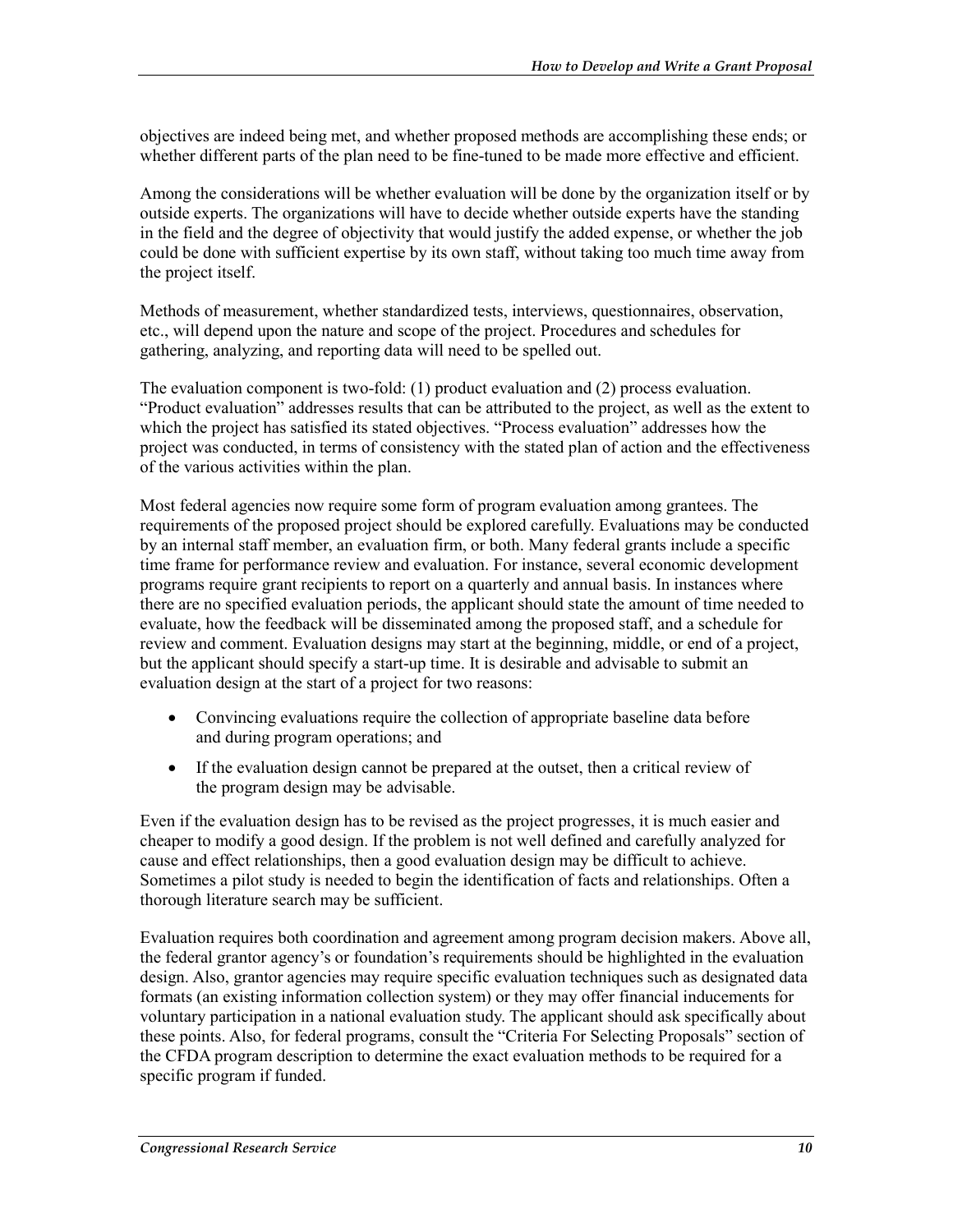objectives are indeed being met, and whether proposed methods are accomplishing these ends; or whether different parts of the plan need to be fine-tuned to be made more effective and efficient.

Among the considerations will be whether evaluation will be done by the organization itself or by outside experts. The organizations will have to decide whether outside experts have the standing in the field and the degree of objectivity that would justify the added expense, or whether the job could be done with sufficient expertise by its own staff, without taking too much time away from the project itself.

Methods of measurement, whether standardized tests, interviews, questionnaires, observation, etc., will depend upon the nature and scope of the project. Procedures and schedules for gathering, analyzing, and reporting data will need to be spelled out.

The evaluation component is two-fold: (1) product evaluation and (2) process evaluation. "Product evaluation" addresses results that can be attributed to the project, as well as the extent to which the project has satisfied its stated objectives. "Process evaluation" addresses how the project was conducted, in terms of consistency with the stated plan of action and the effectiveness of the various activities within the plan.

Most federal agencies now require some form of program evaluation among grantees. The requirements of the proposed project should be explored carefully. Evaluations may be conducted by an internal staff member, an evaluation firm, or both. Many federal grants include a specific time frame for performance review and evaluation. For instance, several economic development programs require grant recipients to report on a quarterly and annual basis. In instances where there are no specified evaluation periods, the applicant should state the amount of time needed to evaluate, how the feedback will be disseminated among the proposed staff, and a schedule for review and comment. Evaluation designs may start at the beginning, middle, or end of a project, but the applicant should specify a start-up time. It is desirable and advisable to submit an evaluation design at the start of a project for two reasons:

- Convincing evaluations require the collection of appropriate baseline data before and during program operations; and
- If the evaluation design cannot be prepared at the outset, then a critical review of the program design may be advisable.

Even if the evaluation design has to be revised as the project progresses, it is much easier and cheaper to modify a good design. If the problem is not well defined and carefully analyzed for cause and effect relationships, then a good evaluation design may be difficult to achieve. Sometimes a pilot study is needed to begin the identification of facts and relationships. Often a thorough literature search may be sufficient.

Evaluation requires both coordination and agreement among program decision makers. Above all, the federal grantor agency's or foundation's requirements should be highlighted in the evaluation design. Also, grantor agencies may require specific evaluation techniques such as designated data formats (an existing information collection system) or they may offer financial inducements for voluntary participation in a national evaluation study. The applicant should ask specifically about these points. Also, for federal programs, consult the "Criteria For Selecting Proposals" section of the CFDA program description to determine the exact evaluation methods to be required for a specific program if funded.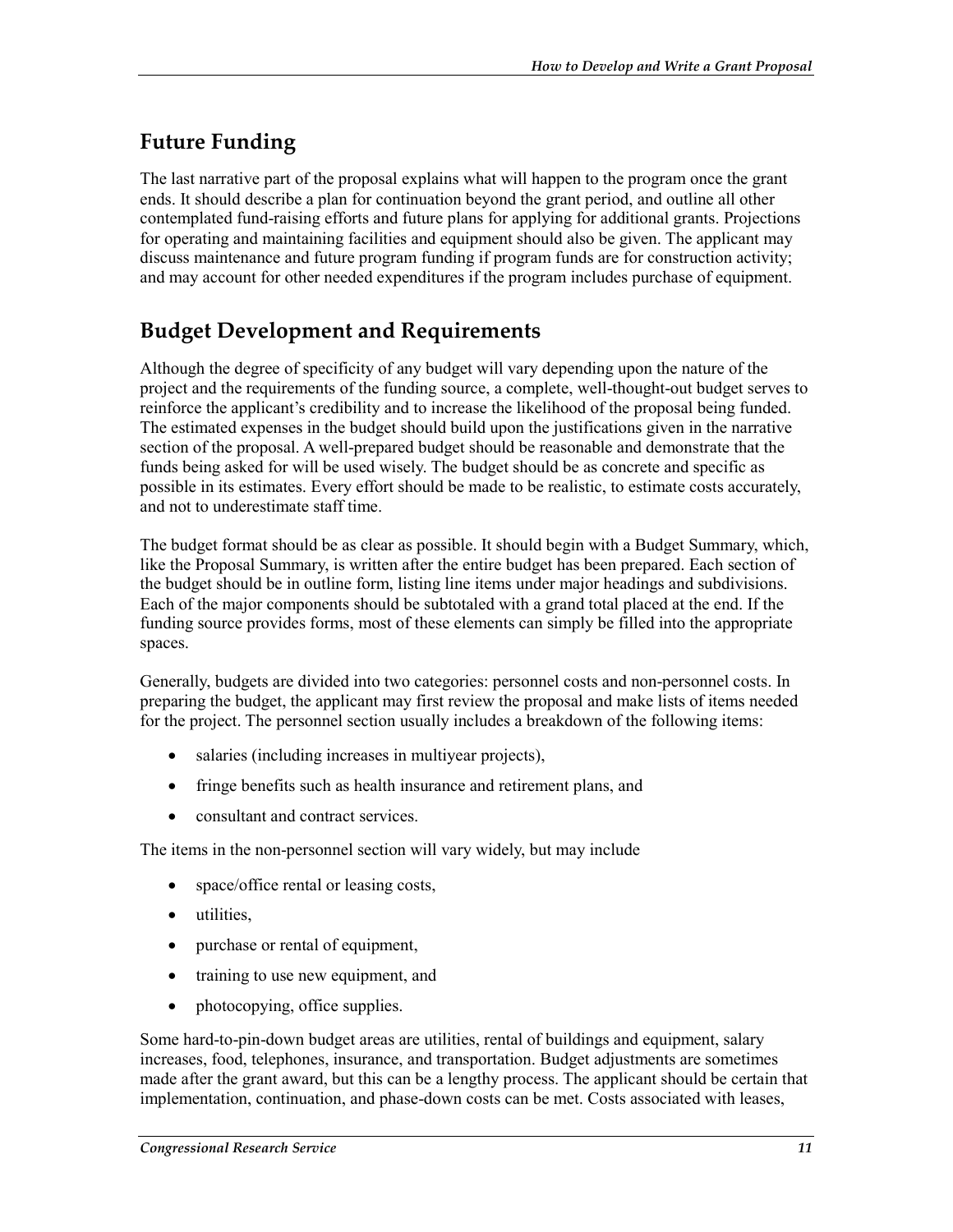## **Future Funding**

The last narrative part of the proposal explains what will happen to the program once the grant ends. It should describe a plan for continuation beyond the grant period, and outline all other contemplated fund-raising efforts and future plans for applying for additional grants. Projections for operating and maintaining facilities and equipment should also be given. The applicant may discuss maintenance and future program funding if program funds are for construction activity; and may account for other needed expenditures if the program includes purchase of equipment.

## **Budget Development and Requirements**

Although the degree of specificity of any budget will vary depending upon the nature of the project and the requirements of the funding source, a complete, well-thought-out budget serves to reinforce the applicant's credibility and to increase the likelihood of the proposal being funded. The estimated expenses in the budget should build upon the justifications given in the narrative section of the proposal. A well-prepared budget should be reasonable and demonstrate that the funds being asked for will be used wisely. The budget should be as concrete and specific as possible in its estimates. Every effort should be made to be realistic, to estimate costs accurately, and not to underestimate staff time.

The budget format should be as clear as possible. It should begin with a Budget Summary, which, like the Proposal Summary, is written after the entire budget has been prepared. Each section of the budget should be in outline form, listing line items under major headings and subdivisions. Each of the major components should be subtotaled with a grand total placed at the end. If the funding source provides forms, most of these elements can simply be filled into the appropriate spaces.

Generally, budgets are divided into two categories: personnel costs and non-personnel costs. In preparing the budget, the applicant may first review the proposal and make lists of items needed for the project. The personnel section usually includes a breakdown of the following items:

- salaries (including increases in multiyear projects),
- fringe benefits such as health insurance and retirement plans, and
- consultant and contract services.

The items in the non-personnel section will vary widely, but may include

- space/office rental or leasing costs,
- utilities,
- purchase or rental of equipment,
- training to use new equipment, and
- photocopying, office supplies.

Some hard-to-pin-down budget areas are utilities, rental of buildings and equipment, salary increases, food, telephones, insurance, and transportation. Budget adjustments are sometimes made after the grant award, but this can be a lengthy process. The applicant should be certain that implementation, continuation, and phase-down costs can be met. Costs associated with leases,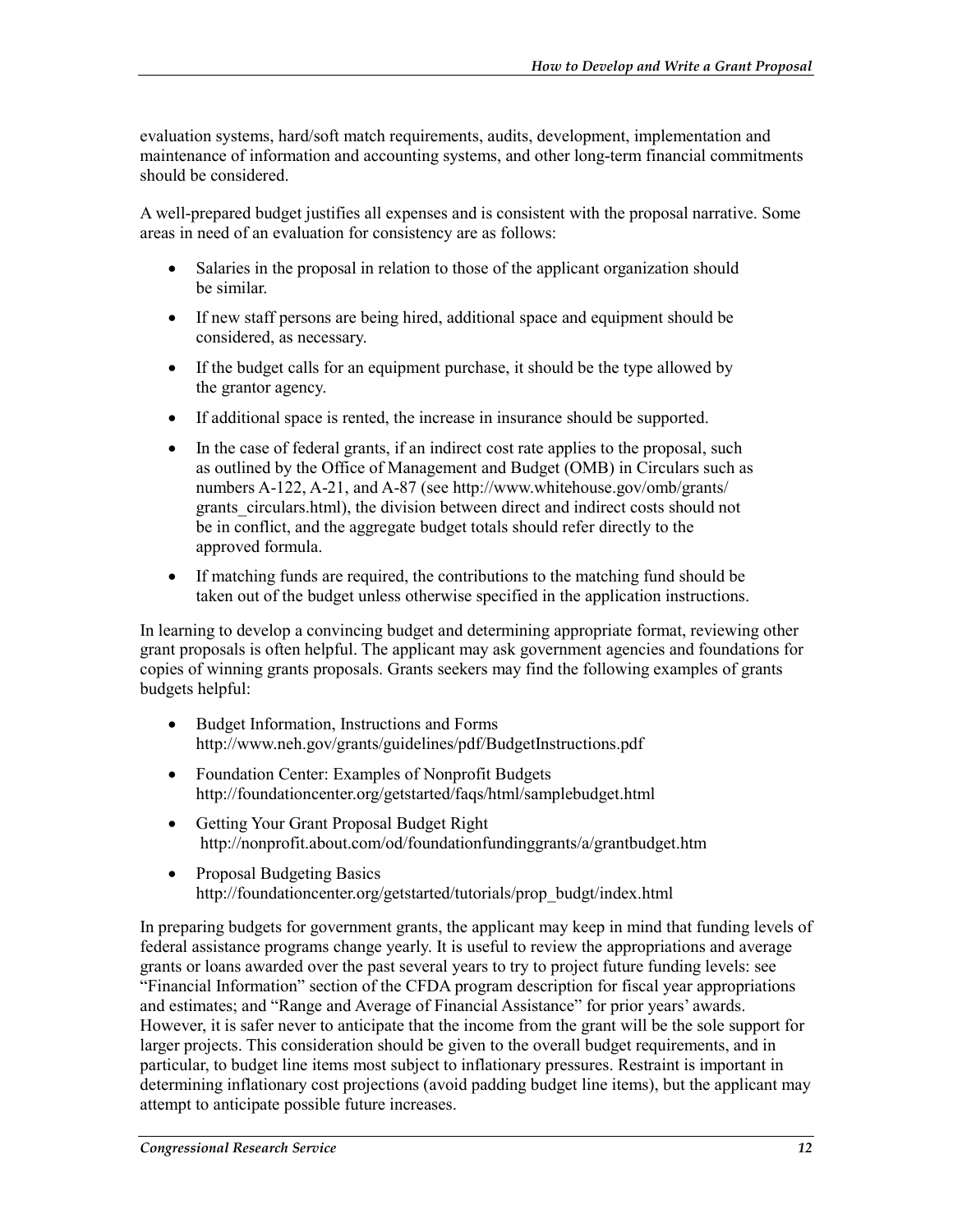evaluation systems, hard/soft match requirements, audits, development, implementation and maintenance of information and accounting systems, and other long-term financial commitments should be considered.

A well-prepared budget justifies all expenses and is consistent with the proposal narrative. Some areas in need of an evaluation for consistency are as follows:

- Salaries in the proposal in relation to those of the applicant organization should be similar.
- If new staff persons are being hired, additional space and equipment should be considered, as necessary.
- If the budget calls for an equipment purchase, it should be the type allowed by the grantor agency.
- If additional space is rented, the increase in insurance should be supported.
- In the case of federal grants, if an indirect cost rate applies to the proposal, such as outlined by the Office of Management and Budget (OMB) in Circulars such as numbers A-122, A-21, and A-87 (see http://www.whitehouse.gov/omb/grants/ grants circulars.html), the division between direct and indirect costs should not be in conflict, and the aggregate budget totals should refer directly to the approved formula.
- If matching funds are required, the contributions to the matching fund should be taken out of the budget unless otherwise specified in the application instructions.

In learning to develop a convincing budget and determining appropriate format, reviewing other grant proposals is often helpful. The applicant may ask government agencies and foundations for copies of winning grants proposals. Grants seekers may find the following examples of grants budgets helpful:

- Budget Information, Instructions and Forms http://www.neh.gov/grants/guidelines/pdf/BudgetInstructions.pdf
- Foundation Center: Examples of Nonprofit Budgets http://foundationcenter.org/getstarted/faqs/html/samplebudget.html
- Getting Your Grant Proposal Budget Right http://nonprofit.about.com/od/foundationfundinggrants/a/grantbudget.htm
- Proposal Budgeting Basics http://foundationcenter.org/getstarted/tutorials/prop\_budgt/index.html

In preparing budgets for government grants, the applicant may keep in mind that funding levels of federal assistance programs change yearly. It is useful to review the appropriations and average grants or loans awarded over the past several years to try to project future funding levels: see "Financial Information" section of the CFDA program description for fiscal year appropriations and estimates; and "Range and Average of Financial Assistance" for prior years' awards. However, it is safer never to anticipate that the income from the grant will be the sole support for larger projects. This consideration should be given to the overall budget requirements, and in particular, to budget line items most subject to inflationary pressures. Restraint is important in determining inflationary cost projections (avoid padding budget line items), but the applicant may attempt to anticipate possible future increases.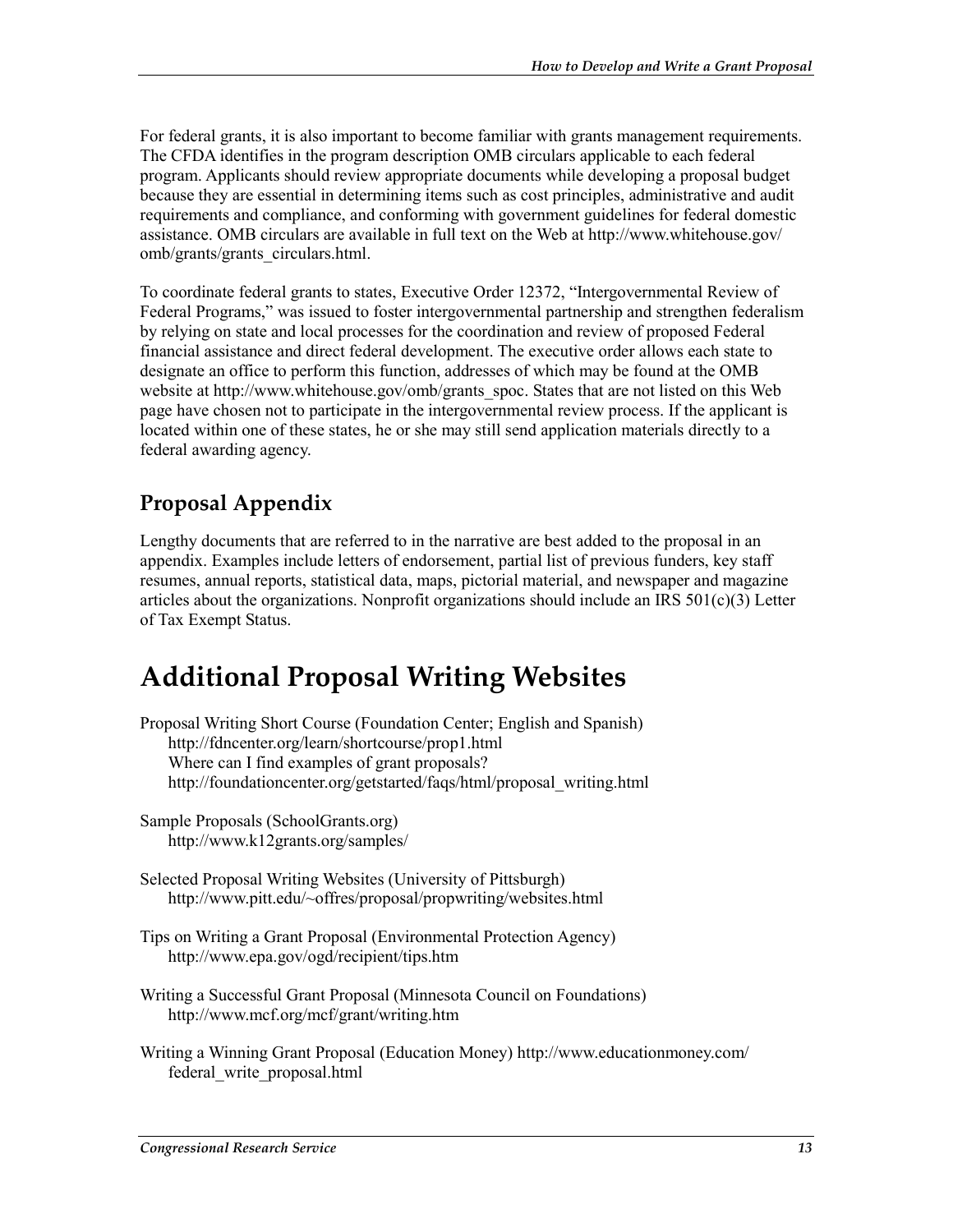For federal grants, it is also important to become familiar with grants management requirements. The CFDA identifies in the program description OMB circulars applicable to each federal program. Applicants should review appropriate documents while developing a proposal budget because they are essential in determining items such as cost principles, administrative and audit requirements and compliance, and conforming with government guidelines for federal domestic assistance. OMB circulars are available in full text on the Web at http://www.whitehouse.gov/ omb/grants/grants\_circulars.html.

To coordinate federal grants to states, Executive Order 12372, "Intergovernmental Review of Federal Programs," was issued to foster intergovernmental partnership and strengthen federalism by relying on state and local processes for the coordination and review of proposed Federal financial assistance and direct federal development. The executive order allows each state to designate an office to perform this function, addresses of which may be found at the OMB website at http://www.whitehouse.gov/omb/grants spoc. States that are not listed on this Web page have chosen not to participate in the intergovernmental review process. If the applicant is located within one of these states, he or she may still send application materials directly to a federal awarding agency.

### **Proposal Appendix**

Lengthy documents that are referred to in the narrative are best added to the proposal in an appendix. Examples include letters of endorsement, partial list of previous funders, key staff resumes, annual reports, statistical data, maps, pictorial material, and newspaper and magazine articles about the organizations. Nonprofit organizations should include an IRS  $501(c)(3)$  Letter of Tax Exempt Status.

## **Additional Proposal Writing Websites**

- Proposal Writing Short Course (Foundation Center; English and Spanish) http://fdncenter.org/learn/shortcourse/prop1.html Where can I find examples of grant proposals? http://foundationcenter.org/getstarted/faqs/html/proposal\_writing.html
- Sample Proposals (SchoolGrants.org) http://www.k12grants.org/samples/
- Selected Proposal Writing Websites (University of Pittsburgh) http://www.pitt.edu/~offres/proposal/propwriting/websites.html
- Tips on Writing a Grant Proposal (Environmental Protection Agency) http://www.epa.gov/ogd/recipient/tips.htm
- Writing a Successful Grant Proposal (Minnesota Council on Foundations) http://www.mcf.org/mcf/grant/writing.htm
- Writing a Winning Grant Proposal (Education Money) http://www.educationmoney.com/ federal\_write\_proposal.html